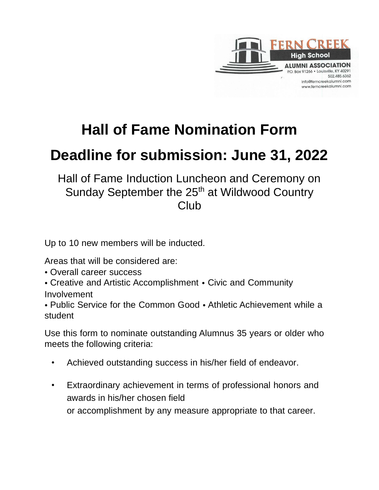

## **Hall of Fame Nomination Form**

## **Deadline for submission: June 31, 2022**

Hall of Fame Induction Luncheon and Ceremony on Sunday September the 25<sup>th</sup> at Wildwood Country Club

Up to 10 new members will be inducted.

Areas that will be considered are:

- Overall career success
- Creative and Artistic Accomplishment Civic and Community Involvement

• Public Service for the Common Good • Athletic Achievement while a student

Use this form to nominate outstanding Alumnus 35 years or older who meets the following criteria:

- Achieved outstanding success in his/her field of endeavor.
- Extraordinary achievement in terms of professional honors and awards in his/her chosen field or accomplishment by any measure appropriate to that career.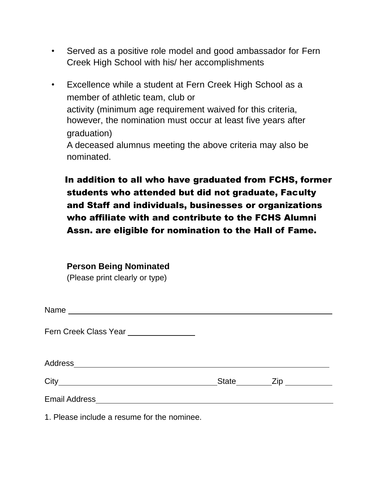- Served as a positive role model and good ambassador for Fern Creek High School with his/ her accomplishments
- Excellence while a student at Fern Creek High School as a member of athletic team, club or activity (minimum age requirement waived for this criteria, however, the nomination must occur at least five years after graduation) A deceased alumnus meeting the above criteria may also be nominated.

In addition to all who have graduated from FCHS, former students who attended but did not graduate, Faculty and Staff and individuals, businesses or organizations who affiliate with and contribute to the FCHS Alumni Assn. are eligible for nomination to the Hall of Fame.

| <b>Person Being Nominated</b> |  |  |
|-------------------------------|--|--|
|                               |  |  |

(Please print clearly or type)

| Fern Creek Class Year _______________ |           |  |
|---------------------------------------|-----------|--|
|                                       |           |  |
|                                       | State Zip |  |
|                                       |           |  |

1. Please include a resume for the nominee.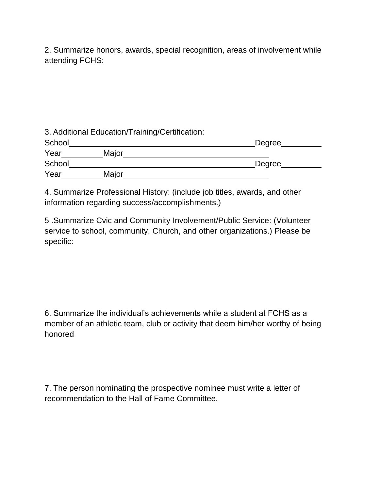2. Summarize honors, awards, special recognition, areas of involvement while attending FCHS:

|        | 3. Additional Education/Training/Certification: |        |
|--------|-------------------------------------------------|--------|
| School |                                                 | Degree |
| Year   | Major                                           |        |
| School |                                                 | Degree |
| Year   | Major                                           |        |

4. Summarize Professional History: (include job titles, awards, and other information regarding success/accomplishments.)

5 .Summarize Cvic and Community Involvement/Public Service: (Volunteer service to school, community, Church, and other organizations.) Please be specific:

6. Summarize the individual's achievements while a student at FCHS as a member of an athletic team, club or activity that deem him/her worthy of being honored

7. The person nominating the prospective nominee must write a letter of recommendation to the Hall of Fame Committee.